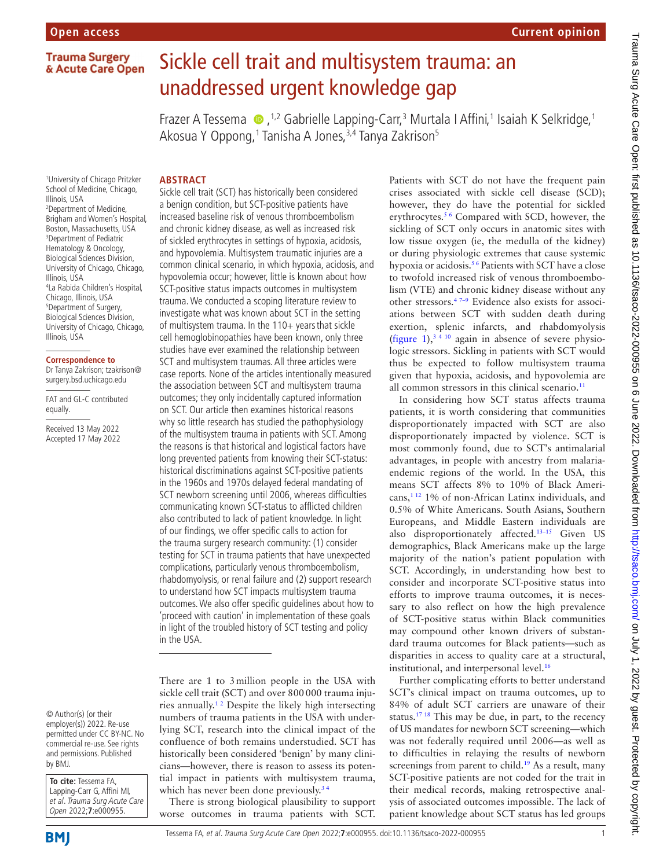# Sickle cell trait and multisystem trauma: an unaddressed urgent knowledge gap

FrazerA Tessema  $\bullet$ , <sup>1,2</sup> Gabrielle Lapping-Carr,<sup>3</sup> Murtala I Affini,<sup>1</sup> Isaiah K Selkridge, 1 Akosua Y Oppong, 1 Tanisha A Jones, <sup>3,4</sup> Tanya Zakrison<sup>5</sup>

### **ABSTRACT**

1 University of Chicago Pritzker School of Medicine, Chicago, Illinois, USA 2 Department of Medicine, Brigham and Women's Hospital, Boston, Massachusetts, USA 3 Department of Pediatric Hematology & Oncology, Biological Sciences Division, University of Chicago, Chicago, Illinois, USA 4 La Rabida Children's Hospital, Chicago, Illinois, USA 5 Department of Surgery, Biological Sciences Division, University of Chicago, Chicago, Illinois, USA

#### **Correspondence to**

Dr Tanya Zakrison; tzakrison@ surgery.bsd.uchicago.edu

FAT and GL-C contributed equally.

Received 13 May 2022 Accepted 17 May 2022

© Author(s) (or their employer(s)) 2022. Re-use permitted under CC BY-NC. No commercial re-use. See rights and permissions. Published by BMJ.

**To cite:** Tessema FA, Lapping-Carr G, Affini MI, et al. Trauma Surg Acute Care Open 2022;**7**:e000955.

Sickle cell trait (SCT) has historically been considered a benign condition, but SCT-positive patients have increased baseline risk of venous thromboembolism and chronic kidney disease, as well as increased risk of sickled erythrocytes in settings of hypoxia, acidosis, and hypovolemia. Multisystem traumatic injuries are a common clinical scenario, in which hypoxia, acidosis, and hypovolemia occur; however, little is known about how SCT-positive status impacts outcomes in multisystem trauma. We conducted a scoping literature review to investigate what was known about SCT in the setting of multisystem trauma. In the  $110+$  years that sickle cell hemoglobinopathies have been known, only three studies have ever examined the relationship between SCT and multisystem traumas. All three articles were case reports. None of the articles intentionally measured the association between SCT and multisystem trauma outcomes; they only incidentally captured information on SCT. Our article then examines historical reasons why so little research has studied the pathophysiology of the multisystem trauma in patients with SCT. Among the reasons is that historical and logistical factors have long prevented patients from knowing their SCT-status: historical discriminations against SCT-positive patients in the 1960s and 1970s delayed federal mandating of SCT newborn screening until 2006, whereas difficulties communicating known SCT-status to afflicted children also contributed to lack of patient knowledge. In light of our findings, we offer specific calls to action for the trauma surgery research community: (1) consider testing for SCT in trauma patients that have unexpected complications, particularly venous thromboembolism, rhabdomyolysis, or renal failure and (2) support research to understand how SCT impacts multisystem trauma outcomes. We also offer specific guidelines about how to 'proceed with caution' in implementation of these goals in light of the troubled history of SCT testing and policy in the USA.

There are 1 to 3million people in the USA with sickle cell trait (SCT) and over 800000 trauma injuries annually.[1 2](#page-3-0) Despite the likely high intersecting numbers of trauma patients in the USA with underlying SCT, research into the clinical impact of the confluence of both remains understudied. SCT has historically been considered 'benign' by many clinicians—however, there is reason to assess its potential impact in patients with multisystem trauma, which has never been done previously.<sup>34</sup>

There is strong biological plausibility to support worse outcomes in trauma patients with SCT. Patients with SCT do not have the frequent pain crises associated with sickle cell disease (SCD); however, they do have the potential for sickled erythrocytes.[5 6](#page-3-2) Compared with SCD, however, the sickling of SCT only occurs in anatomic sites with low tissue oxygen (ie, the medulla of the kidney) or during physiologic extremes that cause systemic hypoxia or acidosis.<sup>56</sup> Patients with SCT have a close to twofold increased risk of venous thromboembolism (VTE) and chronic kidney disease without any other stressors.[4 7–9](#page-3-3) Evidence also exists for associations between SCT with sudden death during exertion, splenic infarcts, and rhabdomyolysis ([figure](#page-1-0) 1),<sup>34 10</sup> again in absence of severe physiologic stressors. Sickling in patients with SCT would thus be expected to follow multisystem trauma given that hypoxia, acidosis, and hypovolemia are all common stressors in this clinical scenario.<sup>11</sup>

In considering how SCT status affects trauma patients, it is worth considering that communities disproportionately impacted with SCT are also disproportionately impacted by violence. SCT is most commonly found, due to SCT's antimalarial advantages, in people with ancestry from malariaendemic regions of the world. In the USA, this means SCT affects 8% to 10% of Black Americans,[1 12](#page-3-0) 1% of non-African Latinx individuals, and 0.5% of White Americans. South Asians, Southern Europeans, and Middle Eastern individuals are also disproportionately affected[.13–15](#page-3-5) Given US demographics, Black Americans make up the large majority of the nation's patient population with SCT. Accordingly, in understanding how best to consider and incorporate SCT-positive status into efforts to improve trauma outcomes, it is necessary to also reflect on how the high prevalence of SCT-positive status within Black communities may compound other known drivers of substandard trauma outcomes for Black patients—such as disparities in access to quality care at a structural, institutional, and interpersonal level.<sup>16</sup>

Further complicating efforts to better understand SCT's clinical impact on trauma outcomes, up to 84% of adult SCT carriers are unaware of their status.[17 18](#page-3-7) This may be due, in part, to the recency of US mandates for newborn SCT screening—which was not federally required until 2006—as well as to difficulties in relaying the results of newborn screenings from parent to child.<sup>19</sup> As a result, many SCT-positive patients are not coded for the trait in their medical records, making retrospective analysis of associated outcomes impossible. The lack of patient knowledge about SCT status has led groups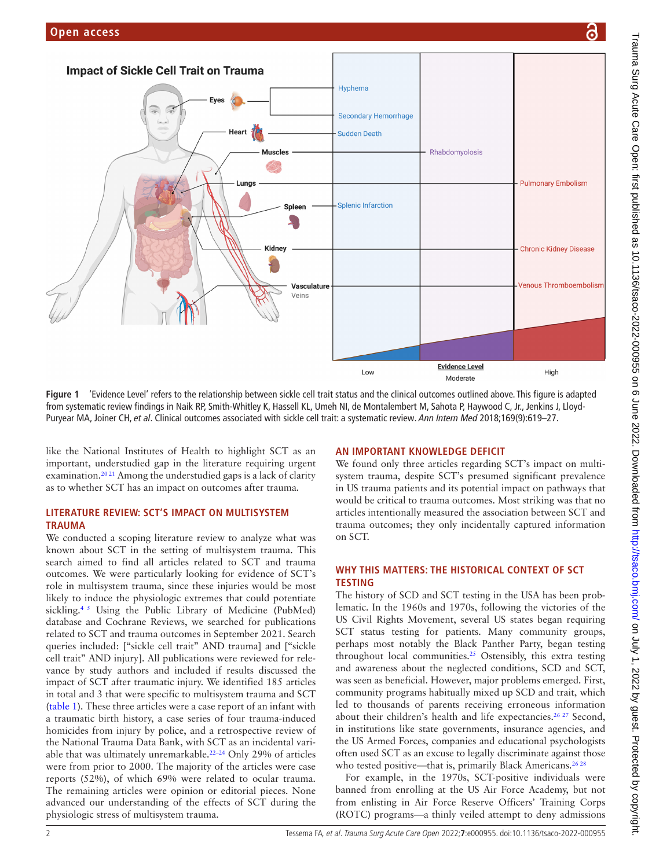

<span id="page-1-0"></span>**Figure 1** 'Evidence Level' refers to the relationship between sickle cell trait status and the clinical outcomes outlined above. This figure is adapted from systematic review findings in Naik RP, Smith-Whitley K, Hassell KL, Umeh NI, de Montalembert M, Sahota P, Haywood C, Jr., Jenkins J, Lloyd-Puryear MA, Joiner CH, *et al*. Clinical outcomes associated with sickle cell trait: a systematic review. *Ann Intern Med* 2018;169(9):619–27.

like the National Institutes of Health to highlight SCT as an important, understudied gap in the literature requiring urgent examination.<sup>2021</sup> Among the understudied gaps is a lack of clarity as to whether SCT has an impact on outcomes after trauma.

## **LITERATURE REVIEW: SCT'S IMPACT ON MULTISYSTEM TRAUMA**

We conducted a scoping literature review to analyze what was known about SCT in the setting of multisystem trauma. This search aimed to find all articles related to SCT and trauma outcomes. We were particularly looking for evidence of SCT's role in multisystem trauma, since these injuries would be most likely to induce the physiologic extremes that could potentiate sickling.<sup>45</sup> Using the Public Library of Medicine (PubMed) database and Cochrane Reviews, we searched for publications related to SCT and trauma outcomes in September 2021. Search queries included: ["sickle cell trait" AND trauma] and ["sickle cell trait" AND injury]. All publications were reviewed for relevance by study authors and included if results discussed the impact of SCT after traumatic injury. We identified 185 articles in total and 3 that were specific to multisystem trauma and SCT ([table](#page-2-0) 1). These three articles were a case report of an infant with a traumatic birth history, a case series of four trauma-induced homicides from injury by police, and a retrospective review of the National Trauma Data Bank, with SCT as an incidental variable that was ultimately unremarkable.<sup>22-24</sup> Only 29% of articles were from prior to 2000. The majority of the articles were case reports (52%), of which 69% were related to ocular trauma. The remaining articles were opinion or editorial pieces. None advanced our understanding of the effects of SCT during the physiologic stress of multisystem trauma.

## **AN IMPORTANT KNOWLEDGE DEFICIT**

We found only three articles regarding SCT's impact on multisystem trauma, despite SCT's presumed significant prevalence in US trauma patients and its potential impact on pathways that would be critical to trauma outcomes. Most striking was that no articles intentionally measured the association between SCT and trauma outcomes; they only incidentally captured information on SCT.

## **WHY THIS MATTERS: THE HISTORICAL CONTEXT OF SCT TESTING**

The history of SCD and SCT testing in the USA has been problematic. In the 1960s and 1970s, following the victories of the US Civil Rights Movement, several US states began requiring SCT status testing for patients. Many community groups, perhaps most notably the Black Panther Party, began testing throughout local communities.<sup>25</sup> Ostensibly, this extra testing and awareness about the neglected conditions, SCD and SCT, was seen as beneficial. However, major problems emerged. First, community programs habitually mixed up SCD and trait, which led to thousands of parents receiving erroneous information about their children's health and life expectancies.<sup>26 27</sup> Second, in institutions like state governments, insurance agencies, and the US Armed Forces, companies and educational psychologists often used SCT as an excuse to legally discriminate against those who tested positive—that is, primarily Black Americans.<sup>26,28</sup>

For example, in the 1970s, SCT-positive individuals were banned from enrolling at the US Air Force Academy, but not from enlisting in Air Force Reserve Officers' Training Corps (ROTC) programs—a thinly veiled attempt to deny admissions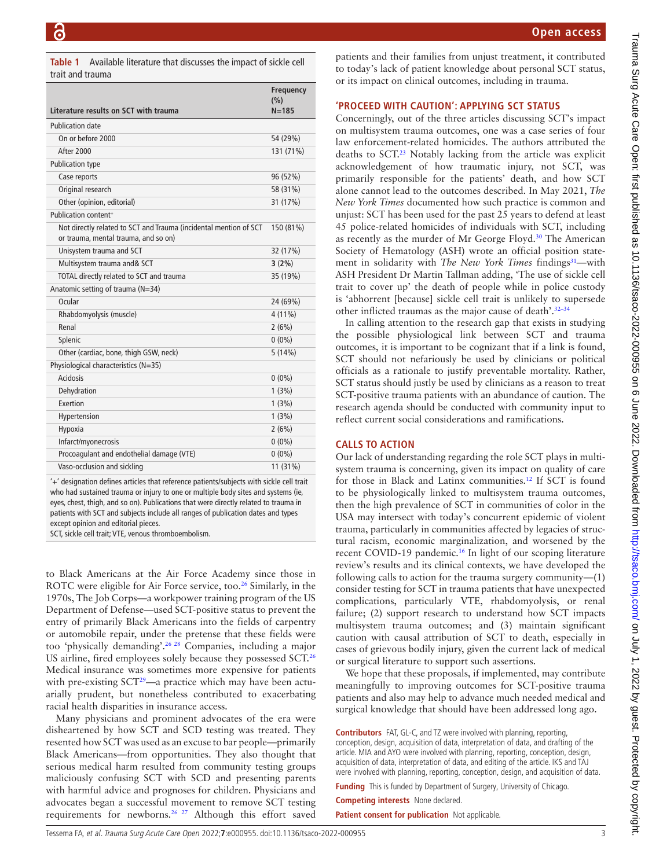**Open access**

<span id="page-2-0"></span>

|                  | <b>Table 1</b> Available literature that discusses the impact of sickle cell |
|------------------|------------------------------------------------------------------------------|
| trait and trauma |                                                                              |

|                                                                   | Frequency<br>(%) |
|-------------------------------------------------------------------|------------------|
| Literature results on SCT with trauma                             | $N = 185$        |
| <b>Publication date</b>                                           |                  |
| On or before 2000                                                 | 54 (29%)         |
| <b>After 2000</b>                                                 | 131 (71%)        |
| <b>Publication type</b>                                           |                  |
| Case reports                                                      | 96 (52%)         |
| Original research                                                 | 58 (31%)         |
| Other (opinion, editorial)                                        | 31 (17%)         |
| Publication content+                                              |                  |
| Not directly related to SCT and Trauma (incidental mention of SCT | 150 (81%)        |
| or trauma, mental trauma, and so on)                              |                  |
| Unisystem trauma and SCT                                          | 32 (17%)         |
| Multisystem trauma and& SCT                                       | 3(2%)            |
| TOTAL directly related to SCT and trauma                          | 35 (19%)         |
| Anatomic setting of trauma (N=34)                                 |                  |
| Ocular                                                            | 24 (69%)         |
| Rhabdomyolysis (muscle)                                           | $4(11\%)$        |
| Renal                                                             | 2(6%)            |
| Splenic                                                           | $0(0\%)$         |
| Other (cardiac, bone, thigh GSW, neck)                            | 5(14%)           |
| Physiological characteristics (N=35)                              |                  |
| Acidosis                                                          | $0(0\%)$         |
| Dehydration                                                       | 1(3%)            |
| Exertion                                                          | 1(3%)            |
| Hypertension                                                      | 1(3%)            |
| Hypoxia                                                           | 2(6%)            |
| Infarct/myonecrosis                                               | $0(0\%)$         |
| Procoagulant and endothelial damage (VTE)                         | $0(0\%)$         |
| Vaso-occlusion and sickling                                       | 11 (31%)         |
|                                                                   |                  |

'+' designation defines articles that reference patients/subjects with sickle cell trait who had sustained trauma or injury to one or multiple body sites and systems (ie, eyes, chest, thigh, and so on). Publications that were directly related to trauma in patients with SCT and subjects include all ranges of publication dates and types except opinion and editorial pieces.

SCT, sickle cell trait; VTE, venous thromboembolism.

to Black Americans at the Air Force Academy since those in ROTC were eligible for Air Force service, too.<sup>26</sup> Similarly, in the 1970s, The Job Corps—a workpower training program of the US Department of Defense—used SCT-positive status to prevent the entry of primarily Black Americans into the fields of carpentry or automobile repair, under the pretense that these fields were too 'physically demanding'.[26 28](#page-3-12) Companies, including a major US airline, fired employees solely because they possessed SCT.[26](#page-3-12) Medical insurance was sometimes more expensive for patients with pre-existing SCT<sup>[29](#page-3-13)</sup>—a practice which may have been actuarially prudent, but nonetheless contributed to exacerbating racial health disparities in insurance access.

Many physicians and prominent advocates of the era were disheartened by how SCT and SCD testing was treated. They resented how SCT was used as an excuse to bar people—primarily Black Americans—from opportunities. They also thought that serious medical harm resulted from community testing groups maliciously confusing SCT with SCD and presenting parents with harmful advice and prognoses for children. Physicians and advocates began a successful movement to remove SCT testing requirements for newborns[.26 27](#page-3-12) Although this effort saved

patients and their families from unjust treatment, it contributed to today's lack of patient knowledge about personal SCT status, or its impact on clinical outcomes, including in trauma.

#### **'PROCEED WITH CAUTION': APPLYING SCT STATUS**

Concerningly, out of the three articles discussing SCT's impact on multisystem trauma outcomes, one was a case series of four law enforcement-related homicides. The authors attributed the deaths to SCT. [23](#page-3-14) Notably lacking from the article was explicit acknowledgement of how traumatic injury, not SCT, was primarily responsible for the patients' death, and how SCT alone cannot lead to the outcomes described. In May 2021, *The New York Times* documented how such practice is common and unjust: SCT has been used for the past 25 years to defend at least 45 police-related homicides of individuals with SCT, including as recently as the murder of Mr George Floyd.[30](#page-3-15) The American Society of Hematology (ASH) wrote an official position statement in solidarity with *The New York Times* findings<sup>31</sup>—with ASH President Dr Martin Tallman adding, 'The use of sickle cell trait to cover up' the death of people while in police custody is 'abhorrent [because] sickle cell trait is unlikely to supersede other inflicted traumas as the major cause of death'.[32–34](#page-3-17)

In calling attention to the research gap that exists in studying the possible physiological link between SCT and trauma outcomes, it is important to be cognizant that if a link is found, SCT should not nefariously be used by clinicians or political officials as a rationale to justify preventable mortality. Rather, SCT status should justly be used by clinicians as a reason to treat SCT-positive trauma patients with an abundance of caution. The research agenda should be conducted with community input to reflect current social considerations and ramifications.

## **CALLS TO ACTION**

Our lack of understanding regarding the role SCT plays in multisystem trauma is concerning, given its impact on quality of care for those in Black and Latinx communities.[12](#page-3-18) If SCT is found to be physiologically linked to multisystem trauma outcomes, then the high prevalence of SCT in communities of color in the USA may intersect with today's concurrent epidemic of violent trauma, particularly in communities affected by legacies of structural racism, economic marginalization, and worsened by the recent COVID-19 pandemic.<sup>16</sup> In light of our scoping literature review's results and its clinical contexts, we have developed the following calls to action for the trauma surgery community—(1) consider testing for SCT in trauma patients that have unexpected complications, particularly VTE, rhabdomyolysis, or renal failure; (2) support research to understand how SCT impacts multisystem trauma outcomes; and (3) maintain significant caution with causal attribution of SCT to death, especially in cases of grievous bodily injury, given the current lack of medical or surgical literature to support such assertions.

We hope that these proposals, if implemented, may contribute meaningfully to improving outcomes for SCT-positive trauma patients and also may help to advance much needed medical and surgical knowledge that should have been addressed long ago.

**Contributors** FAT, GL-C, and TZ were involved with planning, reporting, conception, design, acquisition of data, interpretation of data, and drafting of the article. MIA and AYO were involved with planning, reporting, conception, design, acquisition of data, interpretation of data, and editing of the article. IKS and TAJ were involved with planning, reporting, conception, design, and acquisition of data.

**Funding** This is funded by Department of Surgery, University of Chicago.

**Competing interests** None declared.

**Patient consent for publication** Not applicable.